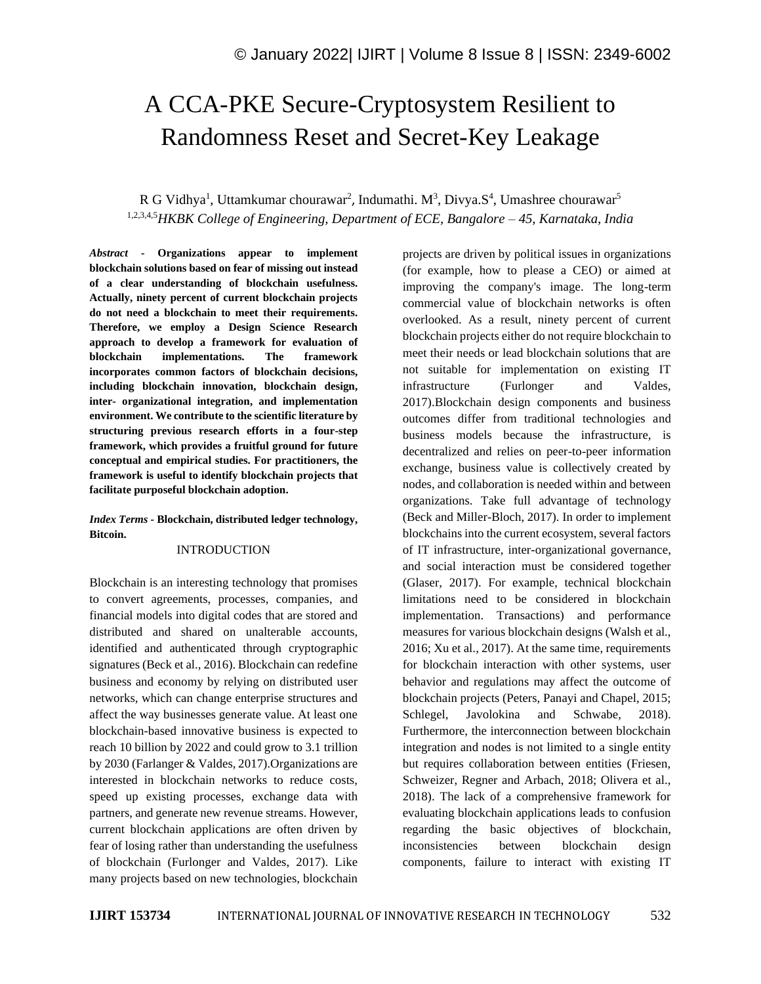# A CCA-PKE Secure-Cryptosystem Resilient to Randomness Reset and Secret-Key Leakage

# R G Vidhya<sup>1</sup>, Uttamkumar chourawar<sup>2</sup>, Indumathi. M<sup>3</sup>, Divya.S<sup>4</sup>, Umashree chourawar<sup>5</sup> 1,2,3,4,5*HKBK College of Engineering, Department of ECE, Bangalore – 45, Karnataka, India*

*Abstract -* **Organizations appear to implement blockchain solutions based on fear of missing out instead of a clear understanding of blockchain usefulness. Actually, ninety percent of current blockchain projects do not need a blockchain to meet their requirements. Therefore, we employ a Design Science Research approach to develop a framework for evaluation of blockchain implementations. The framework incorporates common factors of blockchain decisions, including blockchain innovation, blockchain design, inter- organizational integration, and implementation environment. We contribute to the scientific literature by structuring previous research efforts in a four-step framework, which provides a fruitful ground for future conceptual and empirical studies. For practitioners, the framework is useful to identify blockchain projects that facilitate purposeful blockchain adoption.**

*Index Terms -* **Blockchain, distributed ledger technology, Bitcoin.**

## INTRODUCTION

Blockchain is an interesting technology that promises to convert agreements, processes, companies, and financial models into digital codes that are stored and distributed and shared on unalterable accounts, identified and authenticated through cryptographic signatures (Beck et al., 2016). Blockchain can redefine business and economy by relying on distributed user networks, which can change enterprise structures and affect the way businesses generate value. At least one blockchain-based innovative business is expected to reach 10 billion by 2022 and could grow to 3.1 trillion by 2030 (Farlanger & Valdes, 2017).Organizations are interested in blockchain networks to reduce costs, speed up existing processes, exchange data with partners, and generate new revenue streams. However, current blockchain applications are often driven by fear of losing rather than understanding the usefulness of blockchain (Furlonger and Valdes, 2017). Like many projects based on new technologies, blockchain projects are driven by political issues in organizations (for example, how to please a CEO) or aimed at improving the company's image. The long-term commercial value of blockchain networks is often overlooked. As a result, ninety percent of current blockchain projects either do not require blockchain to meet their needs or lead blockchain solutions that are not suitable for implementation on existing IT infrastructure (Furlonger and Valdes, 2017).Blockchain design components and business outcomes differ from traditional technologies and business models because the infrastructure, is decentralized and relies on peer-to-peer information exchange, business value is collectively created by nodes, and collaboration is needed within and between organizations. Take full advantage of technology (Beck and Miller-Bloch, 2017). In order to implement blockchains into the current ecosystem, several factors of IT infrastructure, inter-organizational governance, and social interaction must be considered together (Glaser, 2017). For example, technical blockchain limitations need to be considered in blockchain implementation. Transactions) and performance measures for various blockchain designs (Walsh et al., 2016; Xu et al., 2017). At the same time, requirements for blockchain interaction with other systems, user behavior and regulations may affect the outcome of blockchain projects (Peters, Panayi and Chapel, 2015; Schlegel, Javolokina and Schwabe, 2018). Furthermore, the interconnection between blockchain integration and nodes is not limited to a single entity but requires collaboration between entities (Friesen, Schweizer, Regner and Arbach, 2018; Olivera et al., 2018). The lack of a comprehensive framework for evaluating blockchain applications leads to confusion regarding the basic objectives of blockchain, inconsistencies between blockchain design components, failure to interact with existing IT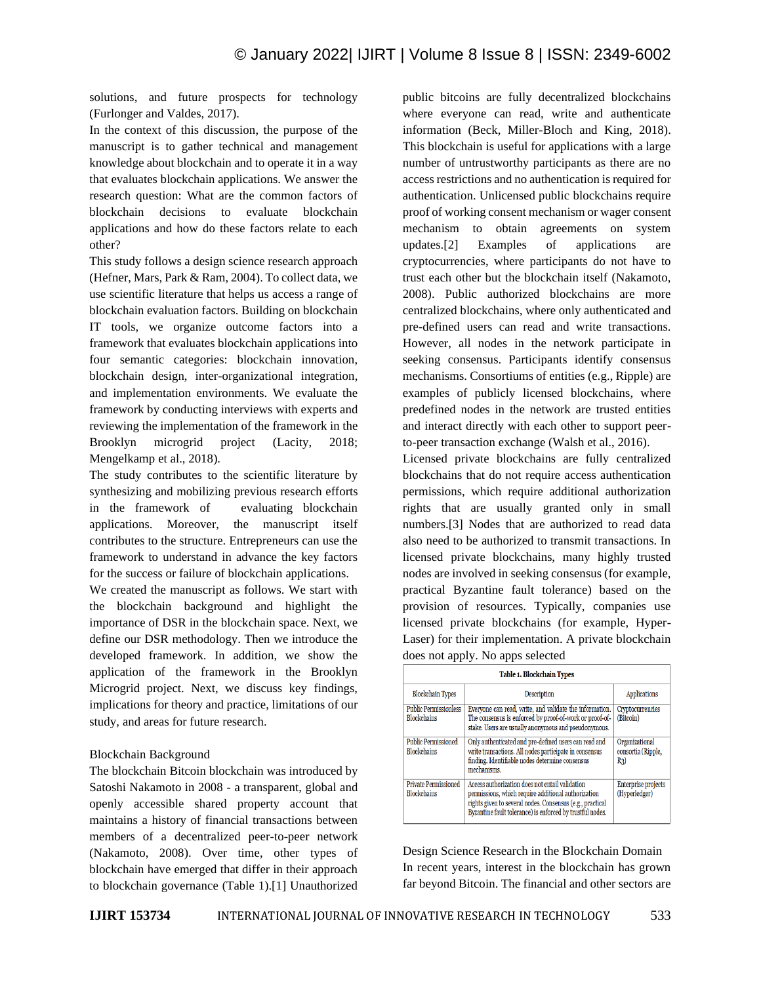solutions, and future prospects for technology (Furlonger and Valdes, 2017).

In the context of this discussion, the purpose of the manuscript is to gather technical and management knowledge about blockchain and to operate it in a way that evaluates blockchain applications. We answer the research question: What are the common factors of blockchain decisions to evaluate blockchain applications and how do these factors relate to each other?

This study follows a design science research approach (Hefner, Mars, Park & Ram, 2004). To collect data, we use scientific literature that helps us access a range of blockchain evaluation factors. Building on blockchain IT tools, we organize outcome factors into a framework that evaluates blockchain applications into four semantic categories: blockchain innovation, blockchain design, inter-organizational integration, and implementation environments. We evaluate the framework by conducting interviews with experts and reviewing the implementation of the framework in the Brooklyn microgrid project (Lacity, 2018; Mengelkamp et al., 2018).

The study contributes to the scientific literature by synthesizing and mobilizing previous research efforts in the framework of evaluating blockchain applications. Moreover, the manuscript itself contributes to the structure. Entrepreneurs can use the framework to understand in advance the key factors for the success or failure of blockchain applications.

We created the manuscript as follows. We start with the blockchain background and highlight the importance of DSR in the blockchain space. Next, we define our DSR methodology. Then we introduce the developed framework. In addition, we show the application of the framework in the Brooklyn Microgrid project. Next, we discuss key findings, implications for theory and practice, limitations of our study, and areas for future research.

# Blockchain Background

The blockchain Bitcoin blockchain was introduced by Satoshi Nakamoto in 2008 - a transparent, global and openly accessible shared property account that maintains a history of financial transactions between members of a decentralized peer-to-peer network (Nakamoto, 2008). Over time, other types of blockchain have emerged that differ in their approach to blockchain governance (Table 1).[1] Unauthorized public bitcoins are fully decentralized blockchains where everyone can read, write and authenticate information (Beck, Miller-Bloch and King, 2018). This blockchain is useful for applications with a large number of untrustworthy participants as there are no access restrictions and no authentication is required for authentication. Unlicensed public blockchains require proof of working consent mechanism or wager consent mechanism to obtain agreements on system updates.[2] Examples of applications are cryptocurrencies, where participants do not have to trust each other but the blockchain itself (Nakamoto, 2008). Public authorized blockchains are more centralized blockchains, where only authenticated and pre-defined users can read and write transactions. However, all nodes in the network participate in seeking consensus. Participants identify consensus mechanisms. Consortiums of entities (e.g., Ripple) are examples of publicly licensed blockchains, where predefined nodes in the network are trusted entities and interact directly with each other to support peerto-peer transaction exchange (Walsh et al., 2016).

Licensed private blockchains are fully centralized blockchains that do not require access authentication permissions, which require additional authorization rights that are usually granted only in small numbers.[3] Nodes that are authorized to read data also need to be authorized to transmit transactions. In licensed private blockchains, many highly trusted nodes are involved in seeking consensus (for example, practical Byzantine fault tolerance) based on the provision of resources. Typically, companies use licensed private blockchains (for example, Hyper-Laser) for their implementation. A private blockchain does not apply. No apps selected

| Table 1. Blockchain Types                          |                                                                                                                                                                                                                                  |                                               |
|----------------------------------------------------|----------------------------------------------------------------------------------------------------------------------------------------------------------------------------------------------------------------------------------|-----------------------------------------------|
| <b>Blockchain Types</b>                            | <b>Description</b>                                                                                                                                                                                                               | <b>Applications</b>                           |
| <b>Public Permissionless</b><br><b>Blockchains</b> | Everyone can read, write, and validate the information.<br>The consensus is enforced by proof-of-work or proof-of-<br>stake. Users are usually anonymous and pseudonymous.                                                       | Cryptocurrencies<br>(Bitcoin)                 |
| <b>Public Permissioned</b><br><b>Blockchains</b>   | Only authenticated and pre-defined users can read and<br>write transactions. All nodes participate in consensus<br>finding. Identifiable nodes determine consensus<br>mechanisms.                                                | Organizational<br>consortia (Ripple,<br>$R_3$ |
| <b>Private Permissioned</b><br><b>Blockchains</b>  | Access authorization does not entail validation<br>permissions, which require additional authorization<br>rights given to several nodes. Consensus (e.g., practical<br>Byzantine fault tolerance) is enforced by trustful nodes. | Enterprise projects<br>(Hyperledger)          |

Design Science Research in the Blockchain Domain In recent years, interest in the blockchain has grown far beyond Bitcoin. The financial and other sectors are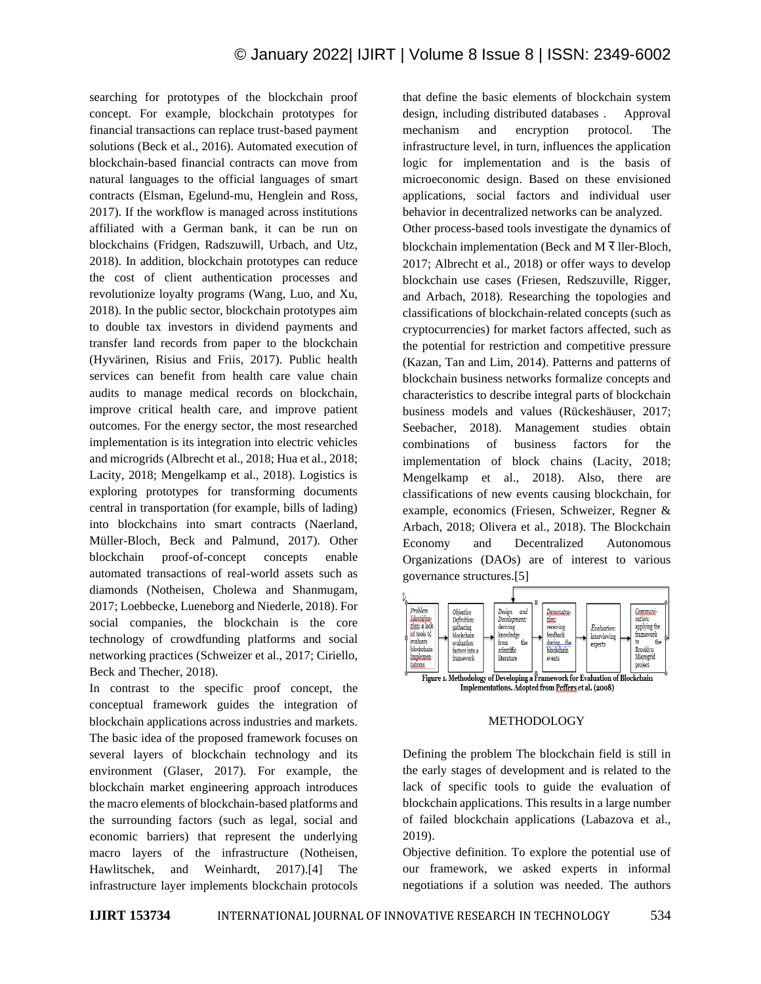searching for prototypes of the blockchain proof concept. For example, blockchain prototypes for financial transactions can replace trust-based payment solutions (Beck et al., 2016). Automated execution of blockchain-based financial contracts can move from natural languages to the official languages of smart contracts (Elsman, Egelund-mu, Henglein and Ross, 2017). If the workflow is managed across institutions affiliated with a German bank, it can be run on blockchains (Fridgen, Radszuwill, Urbach, and Utz, 2018). In addition, blockchain prototypes can reduce the cost of client authentication processes and revolutionize loyalty programs (Wang, Luo, and Xu, 2018). In the public sector, blockchain prototypes aim to double tax investors in dividend payments and transfer land records from paper to the blockchain (Hyvärinen, Risius and Friis, 2017). Public health services can benefit from health care value chain audits to manage medical records on blockchain, improve critical health care, and improve patient outcomes. For the energy sector, the most researched implementation is its integration into electric vehicles and microgrids (Albrecht et al., 2018; Hua et al., 2018; Lacity, 2018; Mengelkamp et al., 2018). Logistics is exploring prototypes for transforming documents central in transportation (for example, bills of lading) into blockchains into smart contracts (Naerland, Müller-Bloch, Beck and Palmund, 2017). Other blockchain proof-of-concept concepts enable automated transactions of real-world assets such as diamonds (Notheisen, Cholewa and Shanmugam, 2017; Loebbecke, Lueneborg and Niederle, 2018). For social companies, the blockchain is the core technology of crowdfunding platforms and social networking practices (Schweizer et al., 2017; Ciriello, Beck and Thecher, 2018).

In contrast to the specific proof concept, the conceptual framework guides the integration of blockchain applications across industries and markets. The basic idea of the proposed framework focuses on several layers of blockchain technology and its environment (Glaser, 2017). For example, the blockchain market engineering approach introduces the macro elements of blockchain-based platforms and the surrounding factors (such as legal, social and economic barriers) that represent the underlying macro layers of the infrastructure (Notheisen, Hawlitschek, and Weinhardt, 2017).[4] The infrastructure layer implements blockchain protocols that define the basic elements of blockchain system design, including distributed databases . Approval mechanism and encryption protocol. The infrastructure level, in turn, influences the application logic for implementation and is the basis of microeconomic design. Based on these envisioned applications, social factors and individual user behavior in decentralized networks can be analyzed. Other process-based tools investigate the dynamics of blockchain implementation (Beck and M  $\bar{x}$  ller-Bloch, 2017; Albrecht et al., 2018) or offer ways to develop blockchain use cases (Friesen, Redszuville, Rigger, and Arbach, 2018). Researching the topologies and classifications of blockchain-related concepts (such as cryptocurrencies) for market factors affected, such as the potential for restriction and competitive pressure (Kazan, Tan and Lim, 2014). Patterns and patterns of blockchain business networks formalize concepts and characteristics to describe integral parts of blockchain business models and values (Rückeshäuser, 2017; Seebacher, 2018). Management studies obtain combinations of business factors for the implementation of block chains (Lacity, 2018; Mengelkamp et al., 2018). Also, there are classifications of new events causing blockchain, for example, economics (Friesen, Schweizer, Regner & Arbach, 2018; Olivera et al., 2018). The Blockchain Economy and Decentralized Autonomous Organizations (DAOs) are of interest to various governance structures.[5]



#### METHODOLOGY

Defining the problem The blockchain field is still in the early stages of development and is related to the lack of specific tools to guide the evaluation of blockchain applications. This results in a large number of failed blockchain applications (Labazova et al., 2019).

Objective definition. To explore the potential use of our framework, we asked experts in informal negotiations if a solution was needed. The authors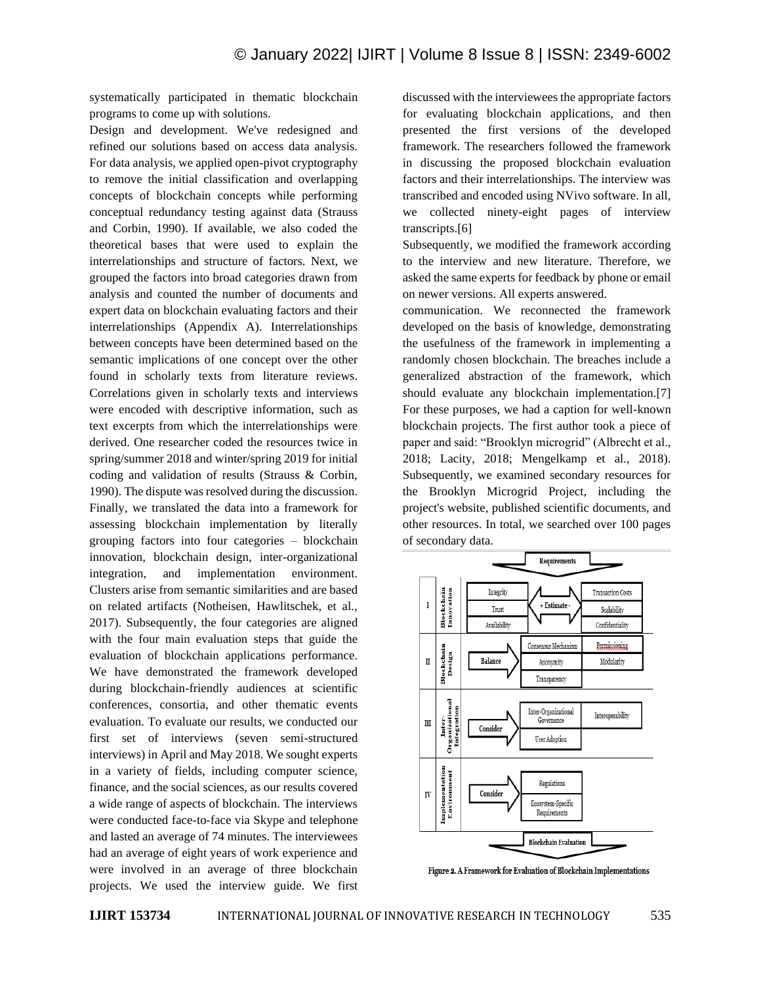systematically participated in thematic blockchain programs to come up with solutions.

Design and development. We've redesigned and refined our solutions based on access data analysis. For data analysis, we applied open-pivot cryptography to remove the initial classification and overlapping concepts of blockchain concepts while performing conceptual redundancy testing against data (Strauss and Corbin, 1990). If available, we also coded the theoretical bases that were used to explain the interrelationships and structure of factors. Next, we grouped the factors into broad categories drawn from analysis and counted the number of documents and expert data on blockchain evaluating factors and their interrelationships (Appendix A). Interrelationships between concepts have been determined based on the semantic implications of one concept over the other found in scholarly texts from literature reviews. Correlations given in scholarly texts and interviews were encoded with descriptive information, such as text excerpts from which the interrelationships were derived. One researcher coded the resources twice in spring/summer 2018 and winter/spring 2019 for initial coding and validation of results (Strauss & Corbin, 1990). The dispute was resolved during the discussion. Finally, we translated the data into a framework for assessing blockchain implementation by literally grouping factors into four categories – blockchain innovation, blockchain design, inter-organizational integration, and implementation environment. Clusters arise from semantic similarities and are based on related artifacts (Notheisen, Hawlitschek, et al., 2017). Subsequently, the four categories are aligned with the four main evaluation steps that guide the evaluation of blockchain applications performance. We have demonstrated the framework developed during blockchain-friendly audiences at scientific conferences, consortia, and other thematic events evaluation. To evaluate our results, we conducted our first set of interviews (seven semi-structured interviews) in April and May 2018. We sought experts in a variety of fields, including computer science, finance, and the social sciences, as our results covered a wide range of aspects of blockchain. The interviews were conducted face-to-face via Skype and telephone and lasted an average of 74 minutes. The interviewees had an average of eight years of work experience and were involved in an average of three blockchain projects. We used the interview guide. We first discussed with the interviewees the appropriate factors for evaluating blockchain applications, and then presented the first versions of the developed framework. The researchers followed the framework in discussing the proposed blockchain evaluation factors and their interrelationships. The interview was transcribed and encoded using NVivo software. In all, we collected ninety-eight pages of interview transcripts.[6]

Subsequently, we modified the framework according to the interview and new literature. Therefore, we asked the same experts for feedback by phone or email on newer versions. All experts answered.

communication. We reconnected the framework developed on the basis of knowledge, demonstrating the usefulness of the framework in implementing a randomly chosen blockchain. The breaches include a generalized abstraction of the framework, which should evaluate any blockchain implementation.[7] For these purposes, we had a caption for well-known blockchain projects. The first author took a piece of paper and said: "Brooklyn microgrid" (Albrecht et al., 2018; Lacity, 2018; Mengelkamp et al., 2018). Subsequently, we examined secondary resources for the Brooklyn Microgrid Project, including the project's website, published scientific documents, and other resources. In total, we searched over 100 pages of secondary data.



Figure 2. A Framework for Evaluation of Blockchain Implementations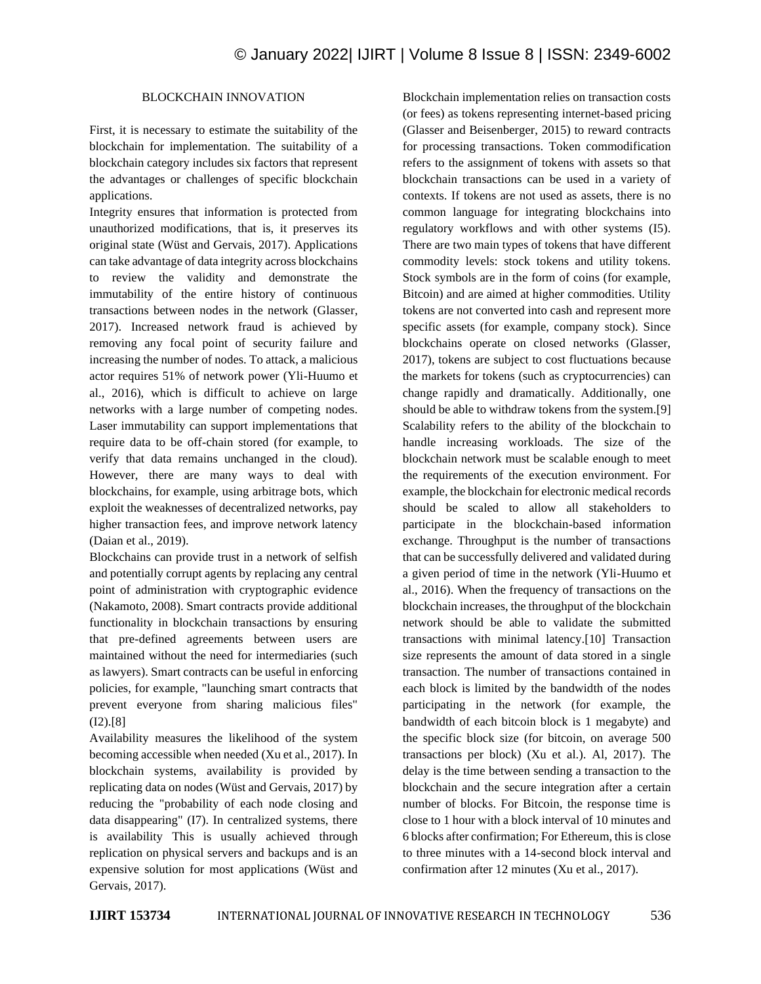# BLOCKCHAIN INNOVATION

First, it is necessary to estimate the suitability of the blockchain for implementation. The suitability of a blockchain category includes six factors that represent the advantages or challenges of specific blockchain applications.

Integrity ensures that information is protected from unauthorized modifications, that is, it preserves its original state (Wüst and Gervais, 2017). Applications can take advantage of data integrity across blockchains to review the validity and demonstrate the immutability of the entire history of continuous transactions between nodes in the network (Glasser, 2017). Increased network fraud is achieved by removing any focal point of security failure and increasing the number of nodes. To attack, a malicious actor requires 51% of network power (Yli-Huumo et al., 2016), which is difficult to achieve on large networks with a large number of competing nodes. Laser immutability can support implementations that require data to be off-chain stored (for example, to verify that data remains unchanged in the cloud). However, there are many ways to deal with blockchains, for example, using arbitrage bots, which exploit the weaknesses of decentralized networks, pay higher transaction fees, and improve network latency (Daian et al., 2019).

Blockchains can provide trust in a network of selfish and potentially corrupt agents by replacing any central point of administration with cryptographic evidence (Nakamoto, 2008). Smart contracts provide additional functionality in blockchain transactions by ensuring that pre-defined agreements between users are maintained without the need for intermediaries (such as lawyers). Smart contracts can be useful in enforcing policies, for example, "launching smart contracts that prevent everyone from sharing malicious files" (I2).[8]

Availability measures the likelihood of the system becoming accessible when needed (Xu et al., 2017). In blockchain systems, availability is provided by replicating data on nodes (Wüst and Gervais, 2017) by reducing the "probability of each node closing and data disappearing" (I7). In centralized systems, there is availability This is usually achieved through replication on physical servers and backups and is an expensive solution for most applications (Wüst and Gervais, 2017).

Blockchain implementation relies on transaction costs (or fees) as tokens representing internet-based pricing (Glasser and Beisenberger, 2015) to reward contracts for processing transactions. Token commodification refers to the assignment of tokens with assets so that blockchain transactions can be used in a variety of contexts. If tokens are not used as assets, there is no common language for integrating blockchains into regulatory workflows and with other systems (I5). There are two main types of tokens that have different commodity levels: stock tokens and utility tokens. Stock symbols are in the form of coins (for example, Bitcoin) and are aimed at higher commodities. Utility tokens are not converted into cash and represent more specific assets (for example, company stock). Since blockchains operate on closed networks (Glasser, 2017), tokens are subject to cost fluctuations because the markets for tokens (such as cryptocurrencies) can change rapidly and dramatically. Additionally, one should be able to withdraw tokens from the system.[9] Scalability refers to the ability of the blockchain to handle increasing workloads. The size of the blockchain network must be scalable enough to meet the requirements of the execution environment. For example, the blockchain for electronic medical records should be scaled to allow all stakeholders to participate in the blockchain-based information exchange. Throughput is the number of transactions that can be successfully delivered and validated during a given period of time in the network (Yli-Huumo et al., 2016). When the frequency of transactions on the blockchain increases, the throughput of the blockchain network should be able to validate the submitted transactions with minimal latency.[10] Transaction size represents the amount of data stored in a single transaction. The number of transactions contained in each block is limited by the bandwidth of the nodes participating in the network (for example, the bandwidth of each bitcoin block is 1 megabyte) and the specific block size (for bitcoin, on average 500 transactions per block) (Xu et al.). Al, 2017). The delay is the time between sending a transaction to the blockchain and the secure integration after a certain number of blocks. For Bitcoin, the response time is close to 1 hour with a block interval of 10 minutes and 6 blocks after confirmation; For Ethereum, this is close to three minutes with a 14-second block interval and confirmation after 12 minutes (Xu et al., 2017).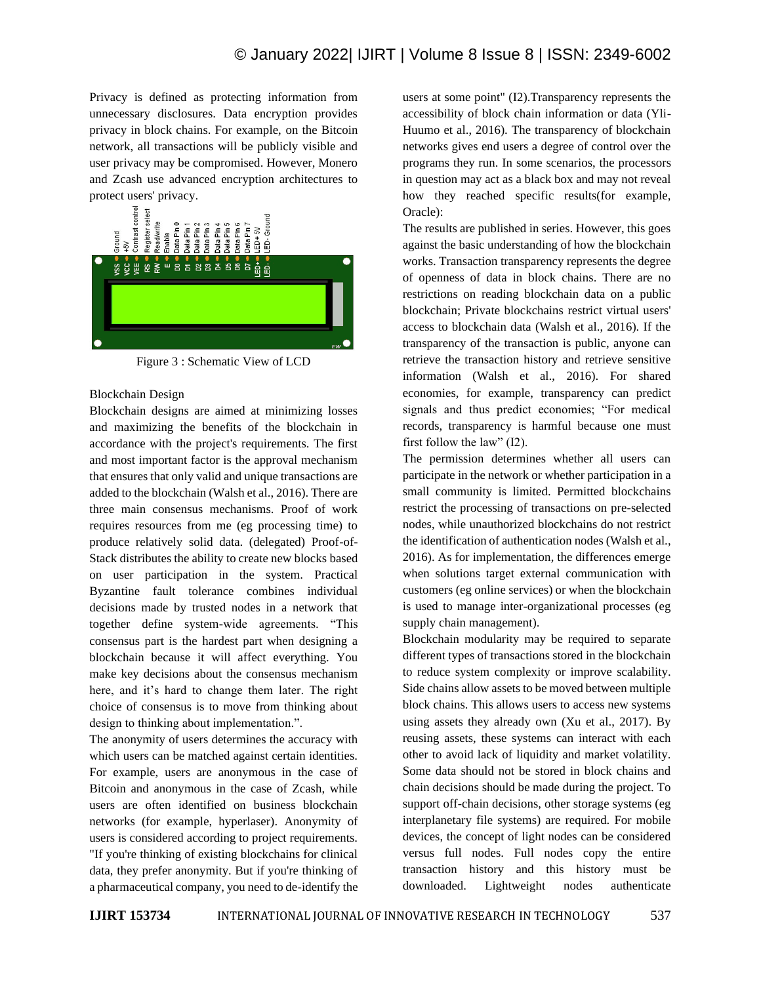Privacy is defined as protecting information from unnecessary disclosures. Data encryption provides privacy in block chains. For example, on the Bitcoin network, all transactions will be publicly visible and user privacy may be compromised. However, Monero and Zcash use advanced encryption architectures to protect users' privacy.



Figure 3 : Schematic View of LCD

# Blockchain Design

Blockchain designs are aimed at minimizing losses and maximizing the benefits of the blockchain in accordance with the project's requirements. The first and most important factor is the approval mechanism that ensures that only valid and unique transactions are added to the blockchain (Walsh et al., 2016). There are three main consensus mechanisms. Proof of work requires resources from me (eg processing time) to produce relatively solid data. (delegated) Proof-of-Stack distributes the ability to create new blocks based on user participation in the system. Practical Byzantine fault tolerance combines individual decisions made by trusted nodes in a network that together define system-wide agreements. "This consensus part is the hardest part when designing a blockchain because it will affect everything. You make key decisions about the consensus mechanism here, and it's hard to change them later. The right choice of consensus is to move from thinking about design to thinking about implementation.".

The anonymity of users determines the accuracy with which users can be matched against certain identities. For example, users are anonymous in the case of Bitcoin and anonymous in the case of Zcash, while users are often identified on business blockchain networks (for example, hyperlaser). Anonymity of users is considered according to project requirements. "If you're thinking of existing blockchains for clinical data, they prefer anonymity. But if you're thinking of a pharmaceutical company, you need to de-identify the users at some point" (I2).Transparency represents the accessibility of block chain information or data (Yli-Huumo et al., 2016). The transparency of blockchain networks gives end users a degree of control over the programs they run. In some scenarios, the processors in question may act as a black box and may not reveal how they reached specific results(for example, Oracle):

The results are published in series. However, this goes against the basic understanding of how the blockchain works. Transaction transparency represents the degree of openness of data in block chains. There are no restrictions on reading blockchain data on a public blockchain; Private blockchains restrict virtual users' access to blockchain data (Walsh et al., 2016). If the transparency of the transaction is public, anyone can retrieve the transaction history and retrieve sensitive information (Walsh et al., 2016). For shared economies, for example, transparency can predict signals and thus predict economies; "For medical records, transparency is harmful because one must first follow the law" (I2).

The permission determines whether all users can participate in the network or whether participation in a small community is limited. Permitted blockchains restrict the processing of transactions on pre-selected nodes, while unauthorized blockchains do not restrict the identification of authentication nodes (Walsh et al., 2016). As for implementation, the differences emerge when solutions target external communication with customers (eg online services) or when the blockchain is used to manage inter-organizational processes (eg supply chain management).

Blockchain modularity may be required to separate different types of transactions stored in the blockchain to reduce system complexity or improve scalability. Side chains allow assets to be moved between multiple block chains. This allows users to access new systems using assets they already own (Xu et al., 2017). By reusing assets, these systems can interact with each other to avoid lack of liquidity and market volatility. Some data should not be stored in block chains and chain decisions should be made during the project. To support off-chain decisions, other storage systems (eg interplanetary file systems) are required. For mobile devices, the concept of light nodes can be considered versus full nodes. Full nodes copy the entire transaction history and this history must be downloaded. Lightweight nodes authenticate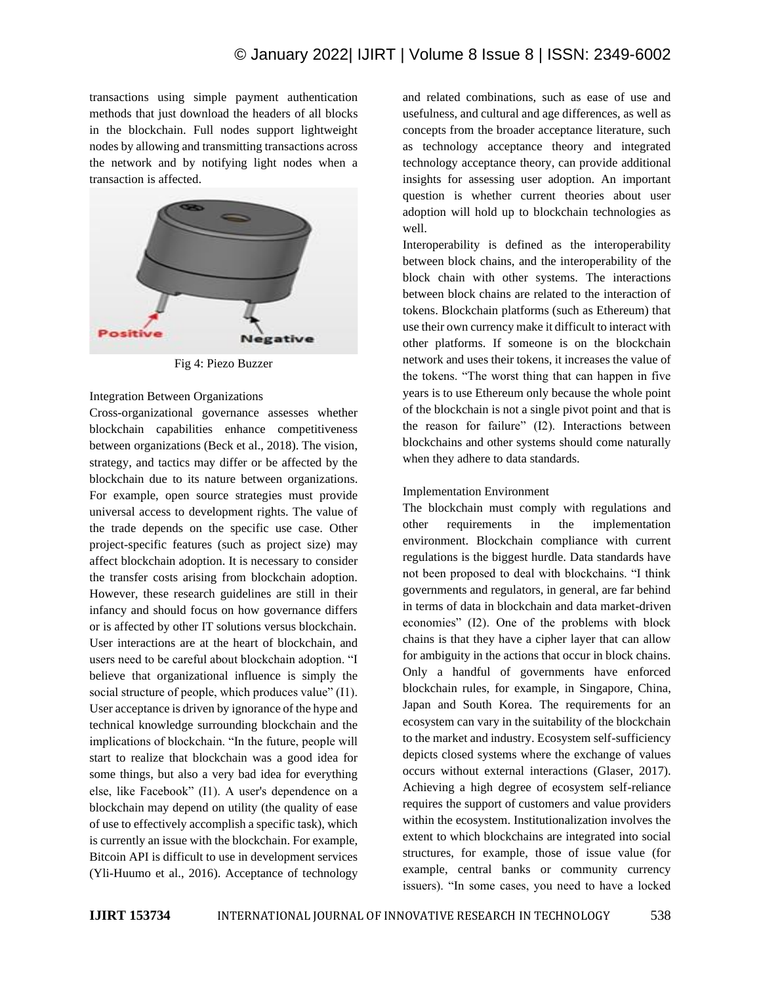transactions using simple payment authentication methods that just download the headers of all blocks in the blockchain. Full nodes support lightweight nodes by allowing and transmitting transactions across the network and by notifying light nodes when a transaction is affected.



Fig 4: Piezo Buzzer

Integration Between Organizations

Cross-organizational governance assesses whether blockchain capabilities enhance competitiveness between organizations (Beck et al., 2018). The vision, strategy, and tactics may differ or be affected by the blockchain due to its nature between organizations. For example, open source strategies must provide universal access to development rights. The value of the trade depends on the specific use case. Other project-specific features (such as project size) may affect blockchain adoption. It is necessary to consider the transfer costs arising from blockchain adoption. However, these research guidelines are still in their infancy and should focus on how governance differs or is affected by other IT solutions versus blockchain. User interactions are at the heart of blockchain, and users need to be careful about blockchain adoption. "I believe that organizational influence is simply the social structure of people, which produces value" (I1). User acceptance is driven by ignorance of the hype and technical knowledge surrounding blockchain and the implications of blockchain. "In the future, people will start to realize that blockchain was a good idea for some things, but also a very bad idea for everything else, like Facebook" (I1). A user's dependence on a blockchain may depend on utility (the quality of ease of use to effectively accomplish a specific task), which is currently an issue with the blockchain. For example, Bitcoin API is difficult to use in development services (Yli-Huumo et al., 2016). Acceptance of technology and related combinations, such as ease of use and usefulness, and cultural and age differences, as well as concepts from the broader acceptance literature, such as technology acceptance theory and integrated technology acceptance theory, can provide additional insights for assessing user adoption. An important question is whether current theories about user adoption will hold up to blockchain technologies as well.

Interoperability is defined as the interoperability between block chains, and the interoperability of the block chain with other systems. The interactions between block chains are related to the interaction of tokens. Blockchain platforms (such as Ethereum) that use their own currency make it difficult to interact with other platforms. If someone is on the blockchain network and uses their tokens, it increases the value of the tokens. "The worst thing that can happen in five years is to use Ethereum only because the whole point of the blockchain is not a single pivot point and that is the reason for failure" (I2). Interactions between blockchains and other systems should come naturally when they adhere to data standards.

# Implementation Environment

The blockchain must comply with regulations and other requirements in the implementation environment. Blockchain compliance with current regulations is the biggest hurdle. Data standards have not been proposed to deal with blockchains. "I think governments and regulators, in general, are far behind in terms of data in blockchain and data market-driven economies" (I2). One of the problems with block chains is that they have a cipher layer that can allow for ambiguity in the actions that occur in block chains. Only a handful of governments have enforced blockchain rules, for example, in Singapore, China, Japan and South Korea. The requirements for an ecosystem can vary in the suitability of the blockchain to the market and industry. Ecosystem self-sufficiency depicts closed systems where the exchange of values occurs without external interactions (Glaser, 2017). Achieving a high degree of ecosystem self-reliance requires the support of customers and value providers within the ecosystem. Institutionalization involves the extent to which blockchains are integrated into social structures, for example, those of issue value (for example, central banks or community currency issuers). "In some cases, you need to have a locked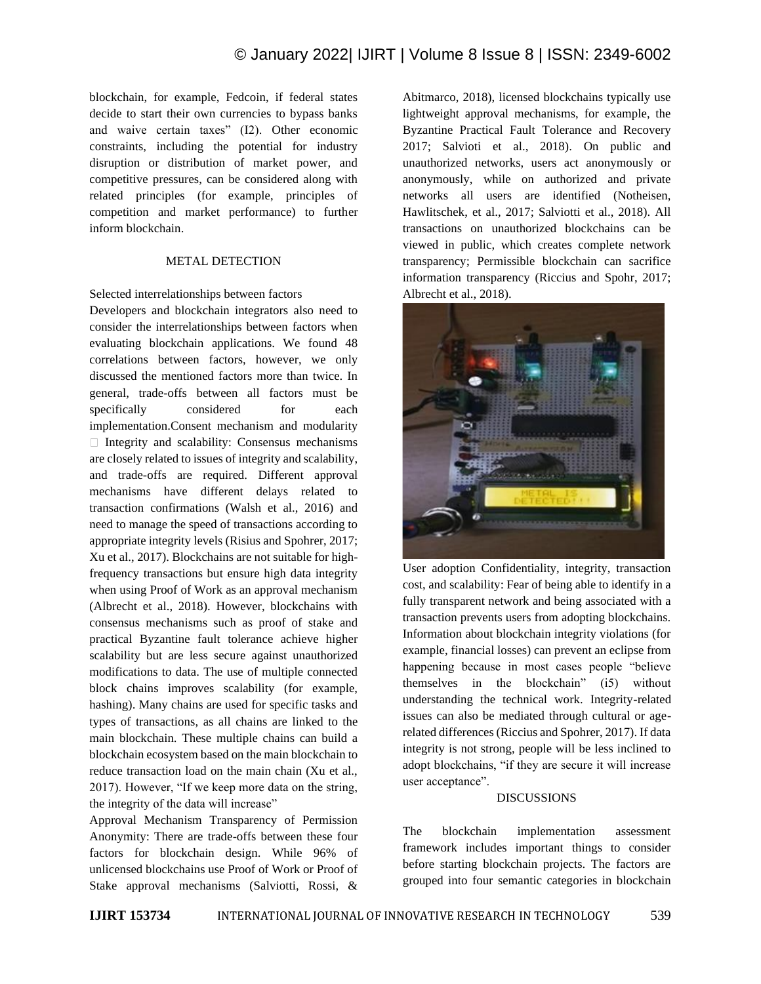blockchain, for example, Fedcoin, if federal states decide to start their own currencies to bypass banks and waive certain taxes" (I2). Other economic constraints, including the potential for industry disruption or distribution of market power, and competitive pressures, can be considered along with related principles (for example, principles of competition and market performance) to further inform blockchain.

## METAL DETECTION

Selected interrelationships between factors

Developers and blockchain integrators also need to consider the interrelationships between factors when evaluating blockchain applications. We found 48 correlations between factors, however, we only discussed the mentioned factors more than twice. In general, trade-offs between all factors must be specifically considered for each implementation.Consent mechanism and modularity  $\Box$  Integrity and scalability: Consensus mechanisms are closely related to issues of integrity and scalability, and trade-offs are required. Different approval mechanisms have different delays related to transaction confirmations (Walsh et al., 2016) and need to manage the speed of transactions according to appropriate integrity levels (Risius and Spohrer, 2017; Xu et al., 2017). Blockchains are not suitable for highfrequency transactions but ensure high data integrity when using Proof of Work as an approval mechanism (Albrecht et al., 2018). However, blockchains with consensus mechanisms such as proof of stake and practical Byzantine fault tolerance achieve higher scalability but are less secure against unauthorized modifications to data. The use of multiple connected block chains improves scalability (for example, hashing). Many chains are used for specific tasks and types of transactions, as all chains are linked to the main blockchain. These multiple chains can build a blockchain ecosystem based on the main blockchain to reduce transaction load on the main chain (Xu et al., 2017). However, "If we keep more data on the string, the integrity of the data will increase"

Approval Mechanism Transparency of Permission Anonymity: There are trade-offs between these four factors for blockchain design. While 96% of unlicensed blockchains use Proof of Work or Proof of Stake approval mechanisms (Salviotti, Rossi, & Abitmarco, 2018), licensed blockchains typically use lightweight approval mechanisms, for example, the Byzantine Practical Fault Tolerance and Recovery 2017; Salvioti et al., 2018). On public and unauthorized networks, users act anonymously or anonymously, while on authorized and private networks all users are identified (Notheisen, Hawlitschek, et al., 2017; Salviotti et al., 2018). All transactions on unauthorized blockchains can be viewed in public, which creates complete network transparency; Permissible blockchain can sacrifice information transparency (Riccius and Spohr, 2017; Albrecht et al., 2018).



User adoption Confidentiality, integrity, transaction cost, and scalability: Fear of being able to identify in a fully transparent network and being associated with a transaction prevents users from adopting blockchains. Information about blockchain integrity violations (for example, financial losses) can prevent an eclipse from happening because in most cases people "believe themselves in the blockchain" (i5) without understanding the technical work. Integrity-related issues can also be mediated through cultural or agerelated differences (Riccius and Spohrer, 2017). If data integrity is not strong, people will be less inclined to adopt blockchains, "if they are secure it will increase user acceptance".

## DISCUSSIONS

The blockchain implementation assessment framework includes important things to consider before starting blockchain projects. The factors are grouped into four semantic categories in blockchain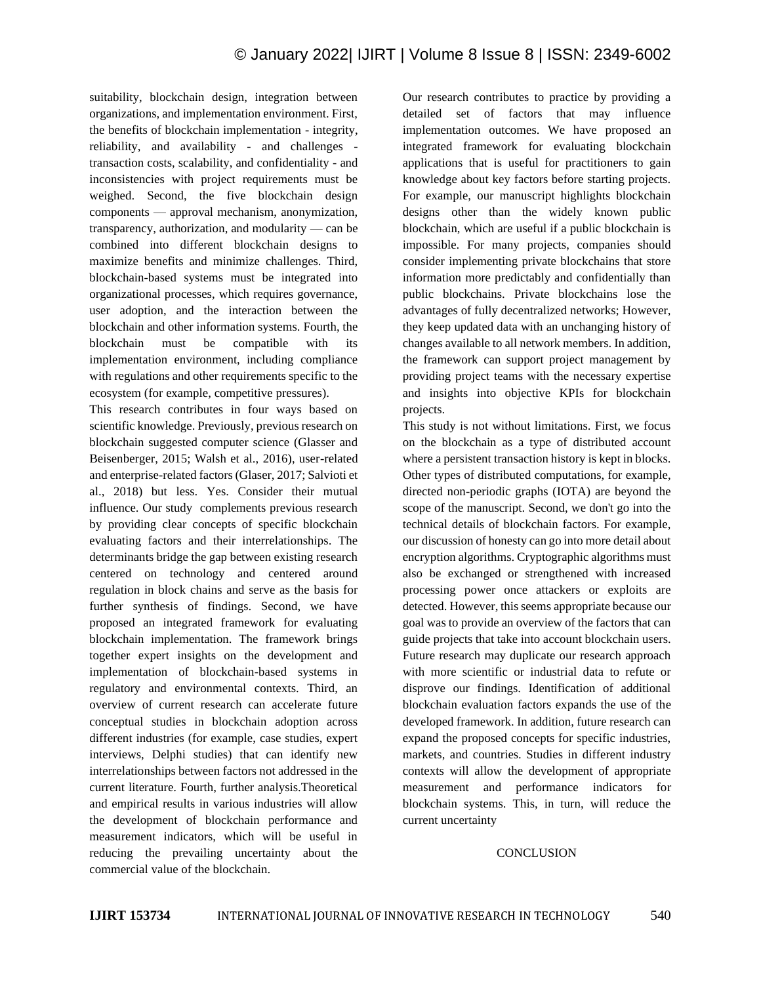suitability, blockchain design, integration between organizations, and implementation environment. First, the benefits of blockchain implementation - integrity, reliability, and availability - and challenges transaction costs, scalability, and confidentiality - and inconsistencies with project requirements must be weighed. Second, the five blockchain design components — approval mechanism, anonymization, transparency, authorization, and modularity — can be combined into different blockchain designs to maximize benefits and minimize challenges. Third, blockchain-based systems must be integrated into organizational processes, which requires governance, user adoption, and the interaction between the blockchain and other information systems. Fourth, the blockchain must be compatible with its implementation environment, including compliance with regulations and other requirements specific to the ecosystem (for example, competitive pressures).

This research contributes in four ways based on scientific knowledge. Previously, previous research on blockchain suggested computer science (Glasser and Beisenberger, 2015; Walsh et al., 2016), user-related and enterprise-related factors (Glaser, 2017; Salvioti et al., 2018) but less. Yes. Consider their mutual influence. Our study complements previous research by providing clear concepts of specific blockchain evaluating factors and their interrelationships. The determinants bridge the gap between existing research centered on technology and centered around regulation in block chains and serve as the basis for further synthesis of findings. Second, we have proposed an integrated framework for evaluating blockchain implementation. The framework brings together expert insights on the development and implementation of blockchain-based systems in regulatory and environmental contexts. Third, an overview of current research can accelerate future conceptual studies in blockchain adoption across different industries (for example, case studies, expert interviews, Delphi studies) that can identify new interrelationships between factors not addressed in the current literature. Fourth, further analysis.Theoretical and empirical results in various industries will allow the development of blockchain performance and measurement indicators, which will be useful in reducing the prevailing uncertainty about the commercial value of the blockchain.

Our research contributes to practice by providing a detailed set of factors that may influence implementation outcomes. We have proposed an integrated framework for evaluating blockchain applications that is useful for practitioners to gain knowledge about key factors before starting projects. For example, our manuscript highlights blockchain designs other than the widely known public blockchain, which are useful if a public blockchain is impossible. For many projects, companies should consider implementing private blockchains that store information more predictably and confidentially than public blockchains. Private blockchains lose the advantages of fully decentralized networks; However, they keep updated data with an unchanging history of changes available to all network members. In addition, the framework can support project management by providing project teams with the necessary expertise and insights into objective KPIs for blockchain projects.

This study is not without limitations. First, we focus on the blockchain as a type of distributed account where a persistent transaction history is kept in blocks. Other types of distributed computations, for example, directed non-periodic graphs (IOTA) are beyond the scope of the manuscript. Second, we don't go into the technical details of blockchain factors. For example, our discussion of honesty can go into more detail about encryption algorithms. Cryptographic algorithms must also be exchanged or strengthened with increased processing power once attackers or exploits are detected. However, this seems appropriate because our goal was to provide an overview of the factors that can guide projects that take into account blockchain users. Future research may duplicate our research approach with more scientific or industrial data to refute or disprove our findings. Identification of additional blockchain evaluation factors expands the use of the developed framework. In addition, future research can expand the proposed concepts for specific industries, markets, and countries. Studies in different industry contexts will allow the development of appropriate measurement and performance indicators for blockchain systems. This, in turn, will reduce the current uncertainty

#### **CONCLUSION**